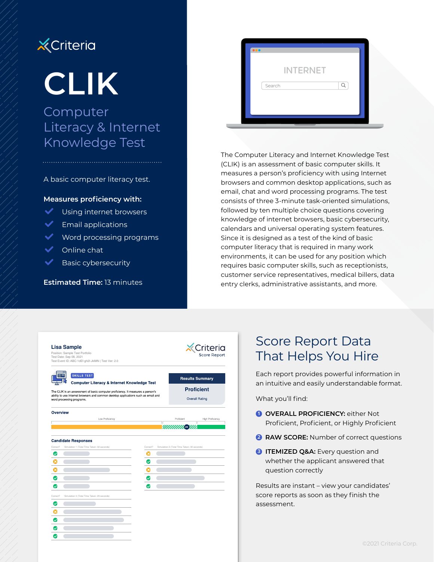# **X** Criteria

# **CLIK**

## Computer Literacy & Internet Knowledge Test

#### A basic computer literacy test.

#### **Measures proficiency with:**

- $\blacktriangleright$  Using internet browsers
- $\blacktriangleright$  Email applications
- $\blacktriangleright$  Word processing programs
- $\blacktriangleright$  Online chat
- **Basic cybersecurity**

#### **Estimated Time:** 13 minutes

| $\bullet\bullet\bullet$ |                 |  |
|-------------------------|-----------------|--|
|                         | <b>INTERNET</b> |  |
| Search                  |                 |  |
|                         |                 |  |
|                         |                 |  |

The Computer Literacy and Internet Knowledge Test (CLIK) is an assessment of basic computer skills. It measures a person's proficiency with using Internet browsers and common desktop applications, such as email, chat and word processing programs. The test consists of three 3-minute task-oriented simulations, followed by ten multiple choice questions covering knowledge of internet browsers, basic cybersecurity, calendars and universal operating system features. Since it is designed as a test of the kind of basic computer literacy that is required in many work environments, it can be used for any position which requires basic computer skills, such as receptionists, customer service representatives, medical billers, data entry clerks, administrative assistants, and more.

|                                                                                                                                                                                                    | <b>Lisa Sample</b><br>Position: Sample Test Portfolio<br>Test Date: Sep 08, 2021<br>Test Event ID: ABC-1dEf-gh2I-JkIMN   Test Ver: 2.0 |                                            | Criteria<br><b>Score Report</b>             |
|----------------------------------------------------------------------------------------------------------------------------------------------------------------------------------------------------|----------------------------------------------------------------------------------------------------------------------------------------|--------------------------------------------|---------------------------------------------|
|                                                                                                                                                                                                    | <b>SKILLS TEST</b><br>Computer Literacy & Internet Knowledge Test                                                                      |                                            | <b>Results Summary</b>                      |
| The CLIK is an assessment of basic computer proficiency. It measures a person's<br>ability to use Internet browsers and common desktop applications such as email and<br>word processing programs. |                                                                                                                                        | <b>Proficient</b><br><b>Overall Rating</b> |                                             |
| Overview                                                                                                                                                                                           | Low Proficiency                                                                                                                        |                                            | Proficient<br>High Proficiency              |
|                                                                                                                                                                                                    |                                                                                                                                        | Τ                                          | <i><b>MINIMIR DYN</b></i>                   |
| Correct?                                                                                                                                                                                           | <b>Candidate Responses</b><br>Simulation 1 (Total Time Taken: 32 seconds)                                                              | Correct?                                   | Simulation 2 (Total Time Taken: 30 seconds) |
| Ø                                                                                                                                                                                                  |                                                                                                                                        | ×                                          |                                             |
| Ω                                                                                                                                                                                                  |                                                                                                                                        | U                                          |                                             |
| Ω                                                                                                                                                                                                  |                                                                                                                                        |                                            |                                             |
| Ø                                                                                                                                                                                                  |                                                                                                                                        |                                            |                                             |
| $\checkmark$                                                                                                                                                                                       |                                                                                                                                        | $\checkmark$                               |                                             |
| Correct?                                                                                                                                                                                           | Simulation 3 (Total Time Taken: 29 seconds)                                                                                            |                                            |                                             |
| ⊗                                                                                                                                                                                                  |                                                                                                                                        |                                            |                                             |
|                                                                                                                                                                                                    |                                                                                                                                        |                                            |                                             |
| Ø                                                                                                                                                                                                  |                                                                                                                                        |                                            |                                             |
|                                                                                                                                                                                                    |                                                                                                                                        |                                            |                                             |
| Ø                                                                                                                                                                                                  |                                                                                                                                        |                                            |                                             |

## Score Report Data That Helps You Hire

Each report provides powerful information in an intuitive and easily understandable format.

What you'll find:

- **1 OVERALL PROFICIENCY:** either Not Proficient, Proficient, or Highly Proficient
- **2 RAW SCORE:** Number of correct questions
- **3 ITEMIZED Q&A:** Every question and whether the applicant answered that question correctly

Results are instant – view your candidates' score reports as soon as they finish the assessment.